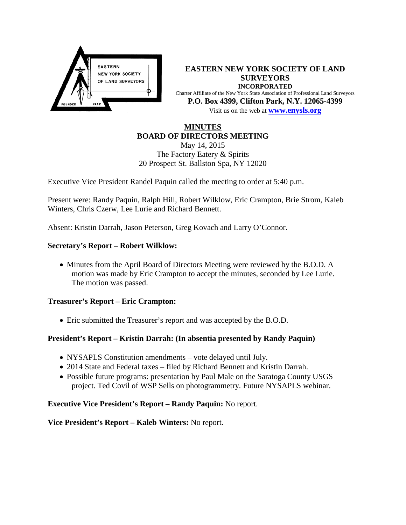

**EASTERN NEW YORK SOCIETY OF LAND SURVEYORS INCORPORATED** Charter Affiliate of the New York State Association of Professional Land Surveyors **P.O. Box 4399, Clifton Park, N.Y. 12065-4399** Visit us on the web at **[www.e](http://www.enysls.org/)nysls.org**

## **MINUTES BOARD OF DIRECTORS MEETING**

May 14, 2015 The Factory Eatery & Spirits 20 Prospect St. Ballston Spa, NY 12020

Executive Vice President Randel Paquin called the meeting to order at 5:40 p.m.

Present were: Randy Paquin, Ralph Hill, Robert Wilklow, Eric Crampton, Brie Strom, Kaleb Winters, Chris Czerw, Lee Lurie and Richard Bennett.

Absent: Kristin Darrah, Jason Peterson, Greg Kovach and Larry O'Connor.

### **Secretary's Report – Robert Wilklow:**

• Minutes from the April Board of Directors Meeting were reviewed by the B.O.D. A motion was made by Eric Crampton to accept the minutes, seconded by Lee Lurie. The motion was passed.

#### **Treasurer's Report – Eric Crampton:**

• Eric submitted the Treasurer's report and was accepted by the B.O.D.

# **President's Report – Kristin Darrah: (In absentia presented by Randy Paquin)**

- NYSAPLS Constitution amendments vote delayed until July.
- 2014 State and Federal taxes filed by Richard Bennett and Kristin Darrah.
- Possible future programs: presentation by Paul Male on the Saratoga County USGS project. Ted Covil of WSP Sells on photogrammetry. Future NYSAPLS webinar.

#### **Executive Vice President's Report – Randy Paquin:** No report.

**Vice President's Report – Kaleb Winters:** No report.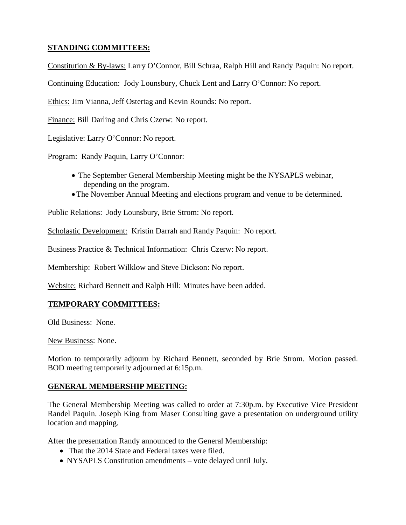# **STANDING COMMITTEES:**

Constitution & By-laws: Larry O'Connor, Bill Schraa, Ralph Hill and Randy Paquin: No report.

Continuing Education: Jody Lounsbury, Chuck Lent and Larry O'Connor: No report.

Ethics: Jim Vianna, Jeff Ostertag and Kevin Rounds: No report.

Finance: Bill Darling and Chris Czerw: No report.

Legislative: Larry O'Connor: No report.

Program: Randy Paquin, Larry O'Connor:

- The September General Membership Meeting might be the NYSAPLS webinar, depending on the program.
- •The November Annual Meeting and elections program and venue to be determined.

Public Relations: Jody Lounsbury, Brie Strom: No report.

Scholastic Development: Kristin Darrah and Randy Paquin: No report.

Business Practice & Technical Information: Chris Czerw: No report.

Membership: Robert Wilklow and Steve Dickson: No report.

Website: Richard Bennett and Ralph Hill: Minutes have been added.

# **TEMPORARY COMMITTEES:**

Old Business: None.

New Business: None.

Motion to temporarily adjourn by Richard Bennett, seconded by Brie Strom. Motion passed. BOD meeting temporarily adjourned at 6:15p.m.

#### **GENERAL MEMBERSHIP MEETING:**

The General Membership Meeting was called to order at 7:30p.m. by Executive Vice President Randel Paquin. Joseph King from Maser Consulting gave a presentation on underground utility location and mapping.

After the presentation Randy announced to the General Membership:

- That the 2014 State and Federal taxes were filed.
- NYSAPLS Constitution amendments vote delayed until July.